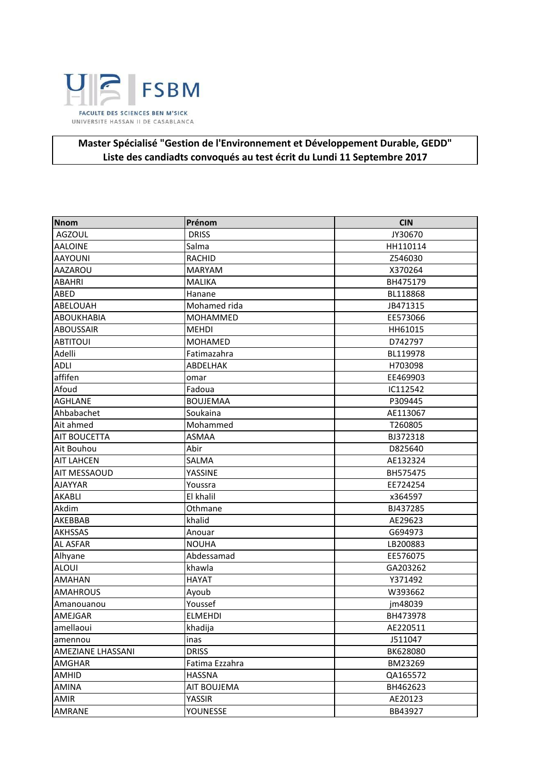

## Master Spécialisé "Gestion de l'Environnement et Développement Durable, GEDD" Liste des candiadts convoqués au test écrit du Lundi 11 Septembre 2017

| <b>Nnom</b>              | Prénom          | <b>CIN</b> |
|--------------------------|-----------------|------------|
| <b>AGZOUL</b>            | <b>DRISS</b>    | JY30670    |
| <b>AALOINE</b>           | Salma           | HH110114   |
| <b>AAYOUNI</b>           | <b>RACHID</b>   | Z546030    |
| AAZAROU                  | <b>MARYAM</b>   | X370264    |
| <b>ABAHRI</b>            | <b>MALIKA</b>   | BH475179   |
| ABED                     | Hanane          | BL118868   |
| <b>ABELOUAH</b>          | Mohamed rida    | JB471315   |
| <b>ABOUKHABIA</b>        | MOHAMMED        | EE573066   |
| <b>ABOUSSAIR</b>         | <b>MEHDI</b>    | HH61015    |
| <b>ABTITOUI</b>          | <b>MOHAMED</b>  | D742797    |
| Adelli                   | Fatimazahra     | BL119978   |
| <b>ADLI</b>              | ABDELHAK        | H703098    |
| affifen                  | omar            | EE469903   |
| Afoud                    | Fadoua          | IC112542   |
| <b>AGHLANE</b>           | <b>BOUJEMAA</b> | P309445    |
| Ahbabachet               | Soukaina        | AE113067   |
| Ait ahmed                | Mohammed        | T260805    |
| <b>AIT BOUCETTA</b>      | ASMAA           | BJ372318   |
| Ait Bouhou               | Abir            | D825640    |
| <b>AIT LAHCEN</b>        | SALMA           | AE132324   |
| AIT MESSAOUD             | YASSINE         | BH575475   |
| <b>AJAYYAR</b>           | Youssra         | EE724254   |
| <b>AKABLI</b>            | El khalil       | x364597    |
| Akdim                    | Othmane         | BJ437285   |
| AKEBBAB                  | khalid          | AE29623    |
| <b>AKHSSAS</b>           | Anouar          | G694973    |
| <b>AL ASFAR</b>          | <b>NOUHA</b>    | LB200883   |
| Alhyane                  | Abdessamad      | EE576075   |
| <b>ALOUI</b>             | khawla          | GA203262   |
| <b>AMAHAN</b>            | <b>HAYAT</b>    | Y371492    |
| <b>AMAHROUS</b>          | Ayoub           | W393662    |
| Amanouanou               | Youssef         | jm48039    |
| AMEJGAR                  | <b>ELMEHDI</b>  | BH473978   |
| amellaoui                | khadija         | AE220511   |
| amennou                  | inas            | J511047    |
| <b>AMEZIANE LHASSANI</b> | <b>DRISS</b>    | BK628080   |
| AMGHAR                   | Fatima Ezzahra  | BM23269    |
| AMHID                    | <b>HASSNA</b>   | QA165572   |
| AMINA                    | AIT BOUJEMA     | BH462623   |
| AMIR                     | YASSIR          | AE20123    |
| AMRANE                   | YOUNESSE        | BB43927    |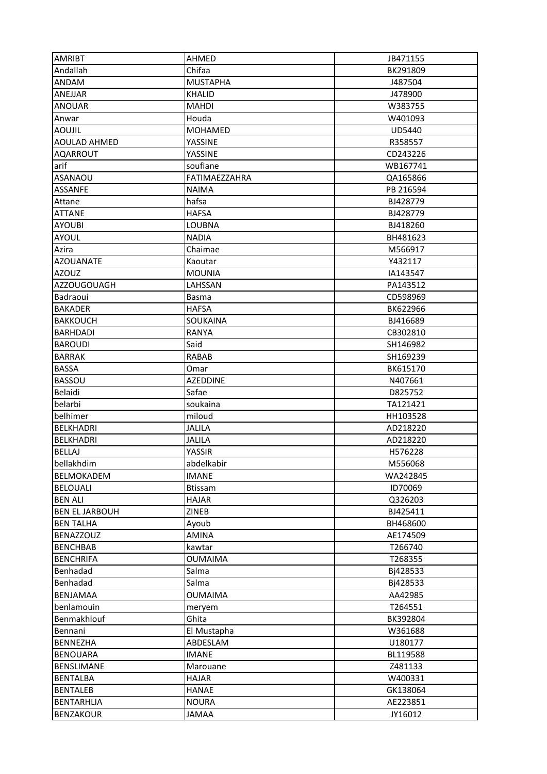| <b>AMRIBT</b>                      | AHMED                    | JB471155             |
|------------------------------------|--------------------------|----------------------|
| Andallah                           | Chifaa                   | BK291809             |
| <b>ANDAM</b>                       | <b>MUSTAPHA</b>          | J487504              |
| <b>ANEJJAR</b>                     | <b>KHALID</b>            | J478900              |
| <b>ANOUAR</b>                      | <b>MAHDI</b>             | W383755              |
| Anwar                              | Houda                    | W401093              |
| <b>AOUJIL</b>                      | <b>MOHAMED</b>           | UD5440               |
| <b>AOULAD AHMED</b>                | YASSINE                  | R358557              |
| <b>AQARROUT</b>                    | YASSINE                  | CD243226             |
| arif                               | soufiane                 | WB167741             |
| <b>ASANAOU</b>                     | FATIMAEZZAHRA            | QA165866             |
| <b>ASSANFE</b>                     | <b>NAIMA</b>             | PB 216594            |
| Attane                             | hafsa                    | BJ428779             |
| <b>ATTANE</b>                      | <b>HAFSA</b>             | BJ428779             |
| <b>AYOUBI</b>                      | <b>LOUBNA</b>            | BJ418260             |
| <b>AYOUL</b>                       | <b>NADIA</b>             | BH481623             |
| Azira                              | Chaimae                  | M566917              |
| <b>AZOUANATE</b>                   | Kaoutar                  | Y432117              |
| <b>AZOUZ</b>                       | <b>MOUNIA</b>            | IA143547             |
| <b>AZZOUGOUAGH</b>                 | LAHSSAN                  | PA143512             |
| Badraoui                           | <b>Basma</b>             | CD598969             |
| <b>BAKADER</b>                     | <b>HAFSA</b>             | BK622966             |
|                                    |                          |                      |
| <b>BAKKOUCH</b><br><b>BARHDADI</b> | SOUKAINA<br><b>RANYA</b> | BJ416689<br>CB302810 |
| <b>BAROUDI</b>                     | Said                     | SH146982             |
| <b>BARRAK</b>                      | <b>RABAB</b>             | SH169239             |
| <b>BASSA</b>                       | Omar                     | BK615170             |
| <b>BASSOU</b>                      | <b>AZEDDINE</b>          | N407661              |
| Belaidi                            | Safae                    | D825752              |
| belarbi                            | soukaina                 | TA121421             |
| belhimer                           | miloud                   | HH103528             |
| <b>BELKHADRI</b>                   | <b>JALILA</b>            | AD218220             |
| <b>BELKHADRI</b>                   | <b>JALILA</b>            | AD218220             |
| <b>BELLAJ</b>                      | YASSIR                   | H576228              |
| bellakhdim                         | abdelkabir               | M556068              |
| <b>BELMOKADEM</b>                  | <b>IMANE</b>             | WA242845             |
| <b>BELOUALI</b>                    | <b>Btissam</b>           | ID70069              |
| <b>BEN ALI</b>                     | <b>HAJAR</b>             | Q326203              |
| <b>BEN EL JARBOUH</b>              | ZINEB                    | BJ425411             |
| <b>BEN TALHA</b>                   | Ayoub                    | BH468600             |
| <b>BENAZZOUZ</b>                   | <b>AMINA</b>             | AE174509             |
| <b>BENCHBAB</b>                    | kawtar                   | T266740              |
| <b>BENCHRIFA</b>                   | <b>OUMAIMA</b>           | T268355              |
| Benhadad                           | Salma                    | Bj428533             |
| Benhadad                           | Salma                    | Bj428533             |
| BENJAMAA                           | <b>OUMAIMA</b>           | AA42985              |
| benlamouin                         | meryem                   | T264551              |
| Benmakhlouf                        | Ghita                    | BK392804             |
| Bennani                            | El Mustapha              | W361688              |
| BENNEZHA                           | ABDESLAM                 | U180177              |
| <b>BENOUARA</b>                    | <b>IMANE</b>             | BL119588             |
| BENSLIMANE                         | Marouane                 | Z481133              |
| <b>BENTALBA</b>                    | <b>HAJAR</b>             | W400331              |
| <b>BENTALEB</b>                    | <b>HANAE</b>             | GK138064             |
| <b>BENTARHLIA</b>                  | <b>NOURA</b>             | AE223851             |
| <b>BENZAKOUR</b>                   | JAMAA                    | JY16012              |
|                                    |                          |                      |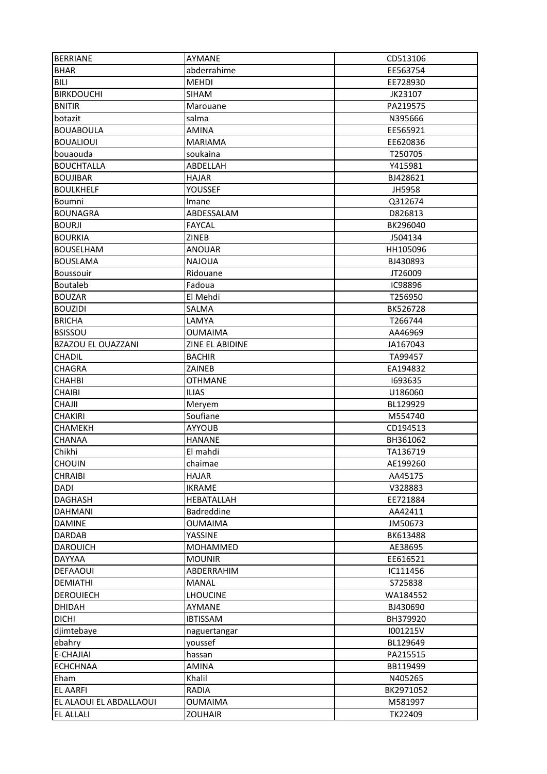| <b>BERRIANE</b>         | AYMANE             | CD513106       |
|-------------------------|--------------------|----------------|
| <b>BHAR</b>             | abderrahime        | EE563754       |
| BILI                    | <b>MEHDI</b>       | EE728930       |
| <b>BIRKDOUCHI</b>       | <b>SIHAM</b>       | JK23107        |
| <b>BNITIR</b>           | Marouane           | PA219575       |
| botazit                 | salma              | N395666        |
| <b>BOUABOULA</b>        | AMINA              | EE565921       |
| <b>BOUALIOUI</b>        | <b>MARIAMA</b>     | EE620836       |
| bouaouda                | soukaina           | T250705        |
| <b>BOUCHTALLA</b>       | ABDELLAH           | Y415981        |
| <b>BOUJIBAR</b>         | <b>HAJAR</b>       | BJ428621       |
| <b>BOULKHELF</b>        | YOUSSEF            | JH5958         |
| Boumni                  | Imane              | Q312674        |
| <b>BOUNAGRA</b>         | ABDESSALAM         | D826813        |
| <b>BOURJI</b>           | <b>FAYCAL</b>      | BK296040       |
| <b>BOURKIA</b>          | ZINEB              | J504134        |
| <b>BOUSELHAM</b>        | <b>ANOUAR</b>      | HH105096       |
| <b>BOUSLAMA</b>         | <b>NAJOUA</b>      | BJ430893       |
| <b>Boussouir</b>        | Ridouane           | JT26009        |
|                         |                    | <b>IC98896</b> |
| <b>Boutaleb</b>         | Fadoua<br>El Mehdi | T256950        |
| <b>BOUZAR</b>           |                    |                |
| <b>BOUZIDI</b>          | SALMA              | BK526728       |
| <b>BRICHA</b>           | LAMYA              | T266744        |
| <b>BSISSOU</b>          | OUMAIMA            | AA46969        |
| BZAZOU EL OUAZZANI      | ZINE EL ABIDINE    | JA167043       |
| <b>CHADIL</b>           | <b>BACHIR</b>      | TA99457        |
| <b>CHAGRA</b>           | ZAINEB             | EA194832       |
| <b>CHAHBI</b>           | <b>OTHMANE</b>     | 1693635        |
| <b>CHAIBI</b>           | <b>ILIAS</b>       | U186060        |
| <b>CHAJII</b>           | Meryem             | BL129929       |
| <b>CHAKIRI</b>          | Soufiane           | M554740        |
| <b>CHAMEKH</b>          | <b>AYYOUB</b>      | CD194513       |
| <b>CHANAA</b>           | <b>HANANE</b>      | BH361062       |
| Chikhi                  | El mahdi           | TA136719       |
| <b>CHOUIN</b>           | chaimae            | AE199260       |
| <b>CHRAIBI</b>          | <b>HAJAR</b>       | AA45175        |
| DADI                    | <b>IKRAME</b>      | V328883        |
| <b>DAGHASH</b>          | HEBATALLAH         | EE721884       |
| <b>DAHMANI</b>          | Badreddine         | AA42411        |
| <b>DAMINE</b>           | <b>OUMAIMA</b>     | JM50673        |
| <b>DARDAB</b>           | YASSINE            | BK613488       |
| <b>DAROUICH</b>         | MOHAMMED           | AE38695        |
| <b>DAYYAA</b>           | <b>MOUNIR</b>      | EE616521       |
| <b>DEFAAOUI</b>         | ABDERRAHIM         | IC111456       |
| DEMIATHI                | <b>MANAL</b>       | S725838        |
| <b>DEROUIECH</b>        | <b>LHOUCINE</b>    | WA184552       |
| <b>DHIDAH</b>           | AYMANE             | BJ430690       |
| <b>DICHI</b>            | <b>IBTISSAM</b>    | BH379920       |
| djimtebaye              | naguertangar       | I001215V       |
| ebahry                  | youssef            | BL129649       |
| E-CHAJIAI               | hassan             | PA215515       |
| <b>ECHCHNAA</b>         | AMINA              | BB119499       |
| Eham                    | Khalil             | N405265        |
| EL AARFI                | RADIA              | BK2971052      |
| EL ALAOUI EL ABDALLAOUI | <b>OUMAIMA</b>     | M581997        |
| <b>EL ALLALI</b>        | <b>ZOUHAIR</b>     | TK22409        |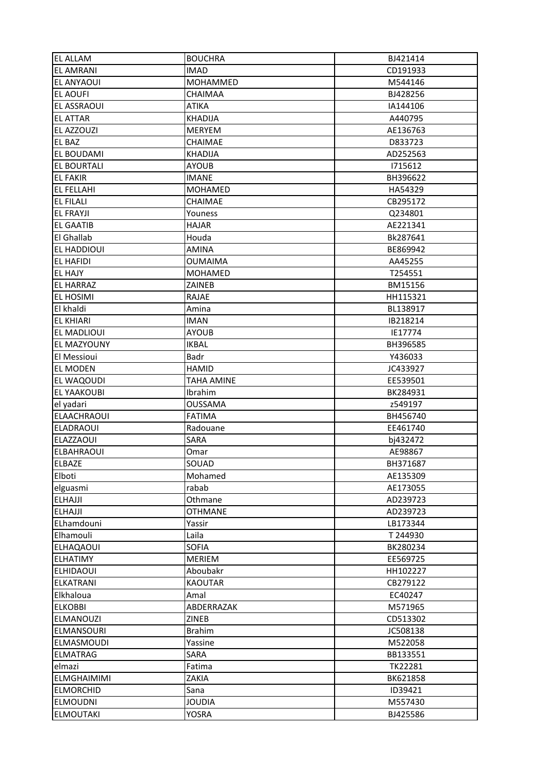| <b>EL ALLAM</b>                      | <b>BOUCHRA</b>                  | BJ421414             |
|--------------------------------------|---------------------------------|----------------------|
| <b>EL AMRANI</b>                     | <b>IMAD</b>                     | CD191933             |
| <b>EL ANYAOUI</b>                    | MOHAMMED                        | M544146              |
| <b>EL AOUFI</b>                      | CHAIMAA                         | BJ428256             |
| <b>EL ASSRAOUI</b>                   | <b>ATIKA</b>                    | IA144106             |
| <b>EL ATTAR</b>                      | <b>KHADIJA</b>                  | A440795              |
| EL AZZOUZI                           | <b>MERYEM</b>                   | AE136763             |
| <b>EL BAZ</b>                        | CHAIMAE                         | D833723              |
| <b>EL BOUDAMI</b>                    | <b>KHADIJA</b>                  | AD252563             |
| <b>EL BOURTALI</b>                   | <b>AYOUB</b>                    | 1715612              |
| <b>EL FAKIR</b>                      | <b>IMANE</b>                    | BH396622             |
| <b>EL FELLAHI</b>                    | <b>MOHAMED</b>                  | HA54329              |
| <b>EL FILALI</b>                     | <b>CHAIMAE</b>                  | CB295172             |
| <b>EL FRAYJI</b>                     | Youness                         | Q234801              |
| <b>EL GAATIB</b>                     | <b>HAJAR</b>                    | AE221341             |
| <b>El Ghallab</b>                    | Houda                           | Bk287641             |
| <b>EL HADDIOUI</b>                   | AMINA                           | BE869942             |
| <b>EL HAFIDI</b>                     | <b>OUMAIMA</b>                  | AA45255              |
| <b>EL HAJY</b>                       | <b>MOHAMED</b>                  | T254551              |
| <b>EL HARRAZ</b>                     | <b>ZAINEB</b>                   | BM15156              |
| <b>EL HOSIMI</b>                     | RAJAE                           | HH115321             |
| El khaldi                            |                                 |                      |
|                                      | Amina                           | BL138917             |
| <b>EL KHIARI</b>                     | <b>IMAN</b>                     | IB218214             |
| <b>EL MADLIOUI</b>                   | <b>AYOUB</b>                    | IE17774              |
| <b>EL MAZYOUNY</b><br>El Messioui    | <b>IKBAL</b><br>Badr            | BH396585<br>Y436033  |
|                                      | <b>HAMID</b>                    |                      |
| <b>EL MODEN</b><br><b>EL WAQOUDI</b> | <b>TAHA AMINE</b>               | JC433927<br>EE539501 |
| <b>EL YAAKOUBI</b>                   | Ibrahim                         | BK284931             |
|                                      |                                 |                      |
| el yadari<br><b>ELAACHRAOUI</b>      | <b>OUSSAMA</b><br><b>FATIMA</b> | z549197<br>BH456740  |
| <b>ELADRAOUI</b>                     | Radouane                        | EE461740             |
| <b>ELAZZAOUI</b>                     | SARA                            | bj432472             |
| <b>ELBAHRAOUI</b>                    | Omar                            | AE98867              |
| <b>ELBAZE</b>                        | SOUAD                           | BH371687             |
| Elboti                               | Mohamed                         |                      |
|                                      |                                 | AE135309             |
| elguasmi<br><b>ELHAJJI</b>           | rabab                           | AE173055             |
|                                      | Othmane                         | AD239723             |
| <b>ELHAJJI</b>                       | <b>OTHMANE</b><br>Yassir        | AD239723<br>LB173344 |
| ELhamdouni<br>Elhamouli              |                                 |                      |
| <b>ELHAQAOUI</b>                     | Laila<br><b>SOFIA</b>           | T 244930             |
|                                      |                                 | BK280234             |
| <b>ELHATIMY</b>                      | <b>MERIEM</b>                   | EE569725             |
| <b>ELHIDAOUI</b>                     | Aboubakr                        | HH102227             |
| <b>ELKATRANI</b>                     | <b>KAOUTAR</b>                  | CB279122             |
| Elkhaloua                            | Amal                            | EC40247              |
| <b>ELKOBBI</b>                       | ABDERRAZAK                      | M571965              |
| <b>ELMANOUZI</b>                     | <b>ZINEB</b>                    | CD513302             |
| <b>ELMANSOURI</b>                    | <b>Brahim</b>                   | JC508138             |
| <b>ELMASMOUDI</b>                    | Yassine                         | M522058              |
| <b>ELMATRAG</b>                      | SARA                            | BB133551             |
| elmazi                               | Fatima                          | TK22281              |
| <b>ELMGHAIMIMI</b>                   | ZAKIA                           | BK621858             |
| <b>ELMORCHID</b>                     | Sana                            | ID39421              |
| <b>ELMOUDNI</b>                      | <b>JOUDIA</b>                   | M557430              |
| <b>ELMOUTAKI</b>                     | <b>YOSRA</b>                    | BJ425586             |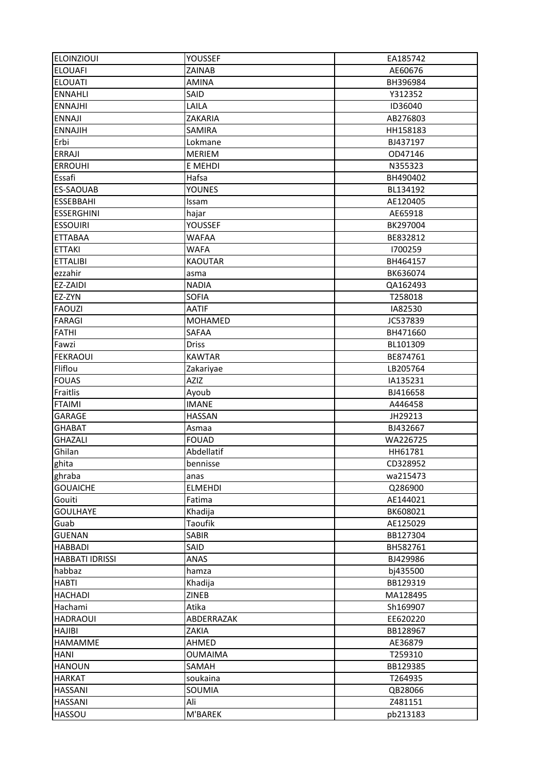| <b>ELOINZIOUI</b>       | <b>YOUSSEF</b>           | EA185742             |
|-------------------------|--------------------------|----------------------|
| <b>ELOUAFI</b>          | ZAINAB                   | AE60676              |
| <b>ELOUATI</b>          | <b>AMINA</b>             | BH396984             |
| <b>ENNAHLI</b>          | SAID                     | Y312352              |
| <b>ENNAJHI</b>          | LAILA                    | ID36040              |
| <b>ENNAJI</b>           | ZAKARIA                  | AB276803             |
| <b>ENNAJIH</b>          | SAMIRA                   | HH158183             |
| Erbi                    | Lokmane                  | BJ437197             |
| <b>ERRAJI</b>           | <b>MERIEM</b>            | OD47146              |
| <b>ERROUHI</b>          | E MEHDI                  | N355323              |
| Essafi                  | Hafsa                    | BH490402             |
| <b>ES-SAOUAB</b>        | <b>YOUNES</b>            | BL134192             |
| <b>ESSEBBAHI</b>        | Issam                    | AE120405             |
| <b>ESSERGHINI</b>       | hajar                    | AE65918              |
| <b>ESSOUIRI</b>         | YOUSSEF                  | BK297004             |
| <b>ETTABAA</b>          | <b>WAFAA</b>             | BE832812             |
| <b>ETTAKI</b>           | <b>WAFA</b>              | 1700259              |
| <b>ETTALIBI</b>         | <b>KAOUTAR</b>           | BH464157             |
| ezzahir                 | asma                     | BK636074             |
| EZ-ZAIDI                | <b>NADIA</b>             | QA162493             |
| EZ-ZYN                  | <b>SOFIA</b>             | T258018              |
| <b>FAOUZI</b>           | <b>AATIF</b>             | IA82530              |
|                         | <b>MOHAMED</b>           |                      |
| <b>FARAGI</b>           | SAFAA                    | JC537839             |
| <b>FATHI</b>            |                          | BH471660             |
| Fawzi                   | <b>Driss</b>             | BL101309             |
| <b>FEKRAOUI</b>         | <b>KAWTAR</b>            | BE874761             |
| Fliflou<br><b>FOUAS</b> | Zakariyae<br><b>AZIZ</b> | LB205764<br>IA135231 |
|                         |                          |                      |
| Fraitlis                | Ayoub                    | BJ416658             |
| <b>FTAIMI</b>           | <b>IMANE</b>             | A446458              |
| <b>GARAGE</b>           | <b>HASSAN</b>            | JH29213              |
| <b>GHABAT</b>           | Asmaa                    | BJ432667             |
| <b>GHAZALI</b>          | <b>FOUAD</b>             | WA226725             |
| Ghilan                  | Abdellatif               | HH61781              |
| ghita                   | bennisse                 | CD328952             |
| ghraba                  | anas                     | wa215473             |
| <b>GOUAICHE</b>         | <b>ELMEHDI</b>           | Q286900              |
| Gouiti                  | Fatima                   | AE144021             |
| <b>GOULHAYE</b>         | Khadija                  | BK608021             |
| Guab                    | <b>Taoufik</b>           | AE125029             |
| <b>GUENAN</b>           | <b>SABIR</b>             | BB127304             |
| <b>HABBADI</b>          | SAID                     | BH582761             |
| <b>HABBATI IDRISSI</b>  | ANAS                     | BJ429986             |
| habbaz                  | hamza                    | bj435500             |
| <b>HABTI</b>            | Khadija                  | BB129319             |
| <b>HACHADI</b>          | <b>ZINEB</b>             | MA128495             |
| Hachami                 | Atika                    | Sh169907             |
| <b>HADRAOUI</b>         | ABDERRAZAK               | EE620220             |
| <b>HAJIBI</b>           | ZAKIA                    | BB128967             |
| <b>HAMAMME</b>          | AHMED                    | AE36879              |
| <b>HANI</b>             | <b>OUMAIMA</b>           | T259310              |
| <b>HANOUN</b>           | SAMAH                    | BB129385             |
| <b>HARKAT</b>           | soukaina                 | T264935              |
| <b>HASSANI</b>          | SOUMIA                   | QB28066              |
| <b>HASSANI</b>          | Ali                      | Z481151              |
| <b>HASSOU</b>           | M'BAREK                  | pb213183             |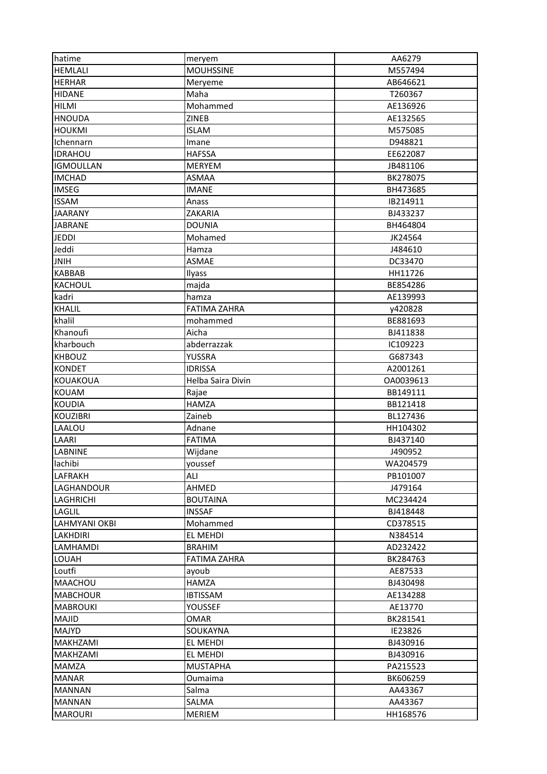| hatime           | meryem              | AA6279    |
|------------------|---------------------|-----------|
| <b>HEMLALI</b>   | <b>MOUHSSINE</b>    | M557494   |
| <b>HERHAR</b>    | Meryeme             | AB646621  |
| <b>HIDANE</b>    | Maha                | T260367   |
| <b>HILMI</b>     | Mohammed            | AE136926  |
| <b>HNOUDA</b>    | ZINEB               | AE132565  |
| <b>HOUKMI</b>    | <b>ISLAM</b>        | M575085   |
| Ichennarn        | Imane               | D948821   |
| <b>IDRAHOU</b>   | <b>HAFSSA</b>       | EE622087  |
| <b>IGMOULLAN</b> | <b>MERYEM</b>       | JB481106  |
| <b>IMCHAD</b>    | ASMAA               | BK278075  |
| <b>IMSEG</b>     | <b>IMANE</b>        | BH473685  |
| <b>ISSAM</b>     | Anass               | IB214911  |
| <b>JAARANY</b>   | ZAKARIA             | BJ433237  |
| <b>JABRANE</b>   | <b>DOUNIA</b>       | BH464804  |
| <b>JEDDI</b>     | Mohamed             | JK24564   |
|                  |                     |           |
| Jeddi            | Hamza               | J484610   |
| <b>JNIH</b>      | <b>ASMAE</b>        | DC33470   |
| <b>KABBAB</b>    | Ilyass              | HH11726   |
| <b>KACHOUL</b>   | majda               | BE854286  |
| kadri            | hamza               | AE139993  |
| <b>KHALIL</b>    | <b>FATIMA ZAHRA</b> | y420828   |
| khalil           | mohammed            | BE881693  |
| Khanoufi         | Aicha               | BJ411838  |
| kharbouch        | abderrazzak         | IC109223  |
| <b>KHBOUZ</b>    | <b>YUSSRA</b>       | G687343   |
| <b>KONDET</b>    | <b>IDRISSA</b>      | A2001261  |
| <b>KOUAKOUA</b>  | Helba Saira Divin   | OA0039613 |
| KOUAM            | Rajae               | BB149111  |
| <b>KOUDIA</b>    | <b>HAMZA</b>        | BB121418  |
| <b>KOUZIBRI</b>  | Zaineb              | BL127436  |
| LAALOU           | Adnane              | HH104302  |
| LAARI            | <b>FATIMA</b>       | BJ437140  |
| <b>LABNINE</b>   | Wijdane             | J490952   |
| lachibi          | youssef             | WA204579  |
| <b>LAFRAKH</b>   | ALI                 | PB101007  |
| LAGHANDOUR       | AHMED               | J479164   |
| <b>LAGHRICHI</b> | <b>BOUTAINA</b>     | MC234424  |
| LAGLIL           | <b>INSSAF</b>       | BJ418448  |
| LAHMYANI OKBI    | Mohammed            | CD378515  |
| <b>LAKHDIRI</b>  | EL MEHDI            | N384514   |
| LAMHAMDI         | <b>BRAHIM</b>       | AD232422  |
| <b>LOUAH</b>     | <b>FATIMA ZAHRA</b> | BK284763  |
| Loutfi           | ayoub               | AE87533   |
| MAACHOU          | HAMZA               | BJ430498  |
| <b>MABCHOUR</b>  | <b>IBTISSAM</b>     | AE134288  |
| <b>MABROUKI</b>  | YOUSSEF             | AE13770   |
| MAJID            | OMAR                | BK281541  |
| <b>MAJYD</b>     | SOUKAYNA            | IE23826   |
| <b>MAKHZAMI</b>  | EL MEHDI            | BJ430916  |
|                  |                     |           |
| MAKHZAMI         | EL MEHDI            | BJ430916  |
| <b>MAMZA</b>     | <b>MUSTAPHA</b>     | PA215523  |
| <b>MANAR</b>     | Oumaima             | BK606259  |
| <b>MANNAN</b>    | Salma               | AA43367   |
| <b>MANNAN</b>    | SALMA               | AA43367   |
| <b>MAROURI</b>   | MERIEM              | HH168576  |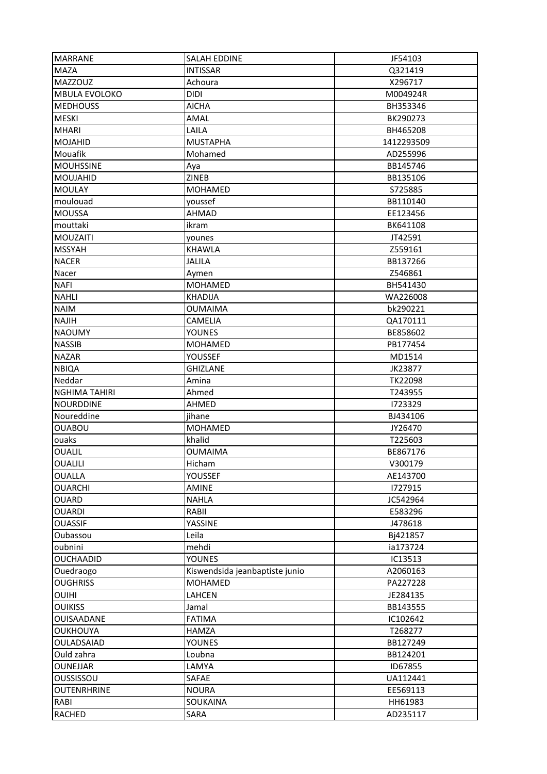| <b>MARRANE</b>         | <b>SALAH EDDINE</b>            | JF54103             |
|------------------------|--------------------------------|---------------------|
| <b>MAZA</b>            | <b>INTISSAR</b>                | Q321419             |
| <b>MAZZOUZ</b>         | Achoura                        | X296717             |
| <b>MBULA EVOLOKO</b>   | <b>DIDI</b>                    | M004924R            |
| <b>MEDHOUSS</b>        | <b>AICHA</b>                   | BH353346            |
| <b>MESKI</b>           | AMAL                           | BK290273            |
| <b>MHARI</b>           | LAILA                          | BH465208            |
| <b>MOJAHID</b>         | <b>MUSTAPHA</b>                | 1412293509          |
| Mouafik                | Mohamed                        | AD255996            |
| <b>MOUHSSINE</b>       | Aya                            | BB145746            |
| <b>MOUJAHID</b>        | ZINEB                          | BB135106            |
| <b>MOULAY</b>          | <b>MOHAMED</b>                 | S725885             |
| moulouad               | youssef                        | BB110140            |
| <b>MOUSSA</b>          | AHMAD                          | EE123456            |
| mouttaki               | ikram                          | BK641108            |
| <b>MOUZAITI</b>        | younes                         | JT42591             |
| <b>MSSYAH</b>          | <b>KHAWLA</b>                  | Z559161             |
| <b>NACER</b>           | <b>JALILA</b>                  | BB137266            |
| Nacer                  |                                | Z546861             |
| <b>NAFI</b>            | Aymen<br><b>MOHAMED</b>        | BH541430            |
| <b>NAHLI</b>           | <b>KHADIJA</b>                 | WA226008            |
| <b>NAIM</b>            | <b>OUMAIMA</b>                 | bk290221            |
|                        |                                |                     |
| <b>NAJIH</b>           | <b>CAMELIA</b>                 | QA170111            |
| <b>NAOUMY</b>          | <b>YOUNES</b>                  | BE858602            |
| <b>NASSIB</b>          | <b>MOHAMED</b>                 | PB177454            |
| <b>NAZAR</b>           | YOUSSEF                        | MD1514              |
| <b>NBIQA</b>           | <b>GHIZLANE</b>                | JK23877             |
| Neddar                 | Amina                          | <b>TK22098</b>      |
| <b>NGHIMA TAHIRI</b>   | Ahmed                          | T243955             |
| <b>NOURDDINE</b>       | AHMED                          | 1723329             |
| Noureddine             | jihane                         | BJ434106            |
| <b>OUABOU</b>          | <b>MOHAMED</b><br>khalid       | JY26470             |
| ouaks<br><b>OUALIL</b> |                                | T225603<br>BE867176 |
| <b>OUALILI</b>         | <b>OUMAIMA</b><br>Hicham       | V300179             |
|                        |                                |                     |
| OUALLA                 | YOUSSEF                        | AE143700            |
| <b>OUARCHI</b>         | <b>AMINE</b>                   | 1727915             |
| <b>OUARD</b>           | <b>NAHLA</b>                   | JC542964            |
| <b>OUARDI</b>          | RABII                          | E583296             |
| <b>OUASSIF</b>         | YASSINE                        | J478618             |
| Oubassou               | Leila                          | Bj421857            |
| oubnini                | mehdi                          | ia173724            |
| <b>OUCHAADID</b>       | <b>YOUNES</b>                  | IC13513             |
| Ouedraogo              | Kiswendsida jeanbaptiste junio | A2060163            |
| <b>OUGHRISS</b>        | MOHAMED                        | PA227228            |
| <b>OUIHI</b>           | <b>LAHCEN</b>                  | JE284135            |
| <b>OUIKISS</b>         | Jamal                          | BB143555            |
| OUISAADANE             | <b>FATIMA</b>                  | IC102642            |
| <b>OUKHOUYA</b>        | <b>HAMZA</b>                   | T268277             |
| OULADSAIAD             | YOUNES                         | BB127249            |
| Ould zahra             | Loubna                         | BB124201            |
| <b>OUNEJJAR</b>        | LAMYA                          | ID67855             |
| OUSSISSOU              | SAFAE                          | UA112441            |
| <b>OUTENRHRINE</b>     | <b>NOURA</b>                   | EE569113            |
| RABI                   | SOUKAINA                       | HH61983             |
| <b>RACHED</b>          | SARA                           | AD235117            |